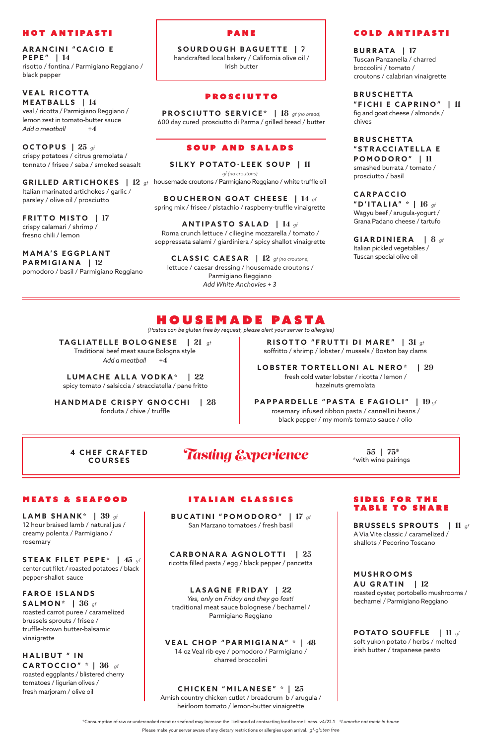PA N E

**SOURDOUGH BAGUETTE |** 7 handcrafted local bakery / California olive oil / Irish butter

#### **PROSCIUTTO**

**PROSCIUTTO SERVICE\* |** 18 *gf (no bread)* 600 day cured prosciutto di Parma / grilled bread / butter

#### SOUP AND SALADS

**SILKY POTATO-LEEK SOUP |** 11

*gf (no croutons)*

housemade croutons / Parmigiano Reggiano / white truffle oil

**BOUCHERON GOAT CHEESE |** 14 *gf* spring mix / frisee / pistachio / raspberry-truffle vinaigrette

#### **ANTIPASTO SALAD |** 14 *gf* Roma crunch lettuce / ciliegine mozzarella / tomato / soppressata salami / giardiniera / spicy shallot vinaigrette

**ARANCINI "CACIO E PEPE" |** 14 risotto / fontina / Parmigiano Reggiano / black pepper

#### **VEAL RICOTTA MEATBALLS |** 14 veal / ricotta / Parmigiano Reggiano /

**CLASSIC CAESAR |** 12 *gf (no croutons)* lettuce / caesar dressing / housemade croutons / Parmigiano Reggiano *Add White Anchovies + 3*

# HOUSEMADE PASTA

**RISOTTO "FRUTTI DI MARE" |** 31 *gf* soffritto / shrimp / lobster / mussels / Boston bay clams

### **LOBSTER TORTELLONI AL NERO\* |** 29

fresh cold water lobster / ricotta / lemon / hazelnuts gremolata

#### **PAPPARDELLE "PASTA E FAGIOLI" |** 19 *gf*

rosemary infused ribbon pasta / cannellini beans / black pepper / my mom's tomato sauce / olio

#### Hot antipasti

lemon zest in tomato-butter sauce *Add a meatball* +4

**OCTOPUS |** 25 *gf* crispy potatoes / citrus gremolata / tonnato / frisee / saba / smoked seasalt

**GRILLED ARTICHOKES |** 12 *gf* Italian marinated artichokes / garlic / parsley / olive oil / prosciutto

**FAROE ISLANDS SALMON\* |** 36 *gf* roasted carrot puree / caramelized brussels sprouts / frisee / truffle-brown butter-balsamic vinaigrette

#### **HALIBUT "IN CARTOCCIO" \* |** 36 *gf*

**FRITTO MISTO |** 17 crispy calamari / shrimp / fresno chili / lemon

#### **DES FOR THE** TABLE TO SHARE

#### **M A M A' S E G G P L A N T PARMIGIANA |** 12 pomodoro / basil / Parmigiano Reggiano

# COLD ANTIPASTI

**BURRATA |** 17 Tuscan Panzanella / charred broccolini / tomato / croutons / calabrian vinaigrette

#### **B R U S C H E T TA**

**"FICHI E CAPRINO" |** 11 fig and goat cheese / almonds /

chives

**4 CHEF CRAFTED COURSES**

# **Tasting Experience**  $\frac{55}{75*}$  *Tastings*

**B R U S C H E T TA " S T R A C C I AT E L L A E POMODORO" |** 11 smashed burrata / tomato /

prosciutto / basil

**C A R P A C C I O "D'ITALIA" \* |** 16 *gf* Wagyu beef / arugula-yogurt / Grana Padano cheese / tartufo

**GIARDINIERA |** 8 *gf* Italian pickled vegetables / Tuscan special olive oil

**BUCATINI "POMODORO" |** 17 *gf* San Marzano tomatoes / fresh basil

**CARBONARA AGNOLOTTI |** 25

ricotta filled pasta / egg / black pepper / pancetta

#### **LASAGNE FRIDAY |** 22

*Yes, only on Friday and they go fast!* traditional meat sauce bolognese / bechamel / Parmigiano Reggiano

#### **VEAL CHOP "PARMIGIANA" \* |** 48

14 oz Veal rib eye / pomodoro / Parmigiano / charred broccolini

#### **CHICKEN "MILANESE" \* |** 25

Amish country chicken cutlet / breadcrum b / arugula / heirloom tomato / lemon-butter vinaigrette

## MEATS & SEAFOOD

**LAMB SHANK\* |** 39 *gf* 12 hour braised lamb / natural jus / creamy polenta / Parmigiano / rosemary

**STEAK FILET PEPE\* |** 45 *gf* center cut filet / roasted potatoes / black pepper-shallot sauce

roasted eggplants / blistered cherry tomatoes / ligurian olives / fresh marjoram / olive oil

**BRUSSELS SPROUTS |** 11 *gf* A Via Vite classic / caramelized / shallots / Pecorino Toscano

#### **M U S H R O O M S AU GRATIN |** 12

roasted oyster, portobello mushrooms / bechamel / Parmigiano Reggiano

**POTATO SOUFFLE |** 11 *gf* soft yukon potato / herbs / melted

irish butter / trapanese pesto

**TAGLIATELLE BOLOGNESE |** 21 *gf* 

Traditional beef meat sauce Bologna style *Add a meatball* +4

# **LUMACHE ALLA VODKA\* |** 22

spicy tomato / salsiccia / stracciatella / pane fritto

**HANDMADE CRISPY GNOCCHI |** 28 fonduta / chive / truffle

\*Consumption of raw or undercooked meat or seafood may increase the likelihood of contracting food borne illness. v4/22.1 *\*Lumache not made in-house*

Please make your server aware of any dietary restrictions or allergies upon arrival. *gf-gluten free*

*(Pastas can be gluten free by request, please alert your server to allergies)*

# ITALIAN CLASSICS